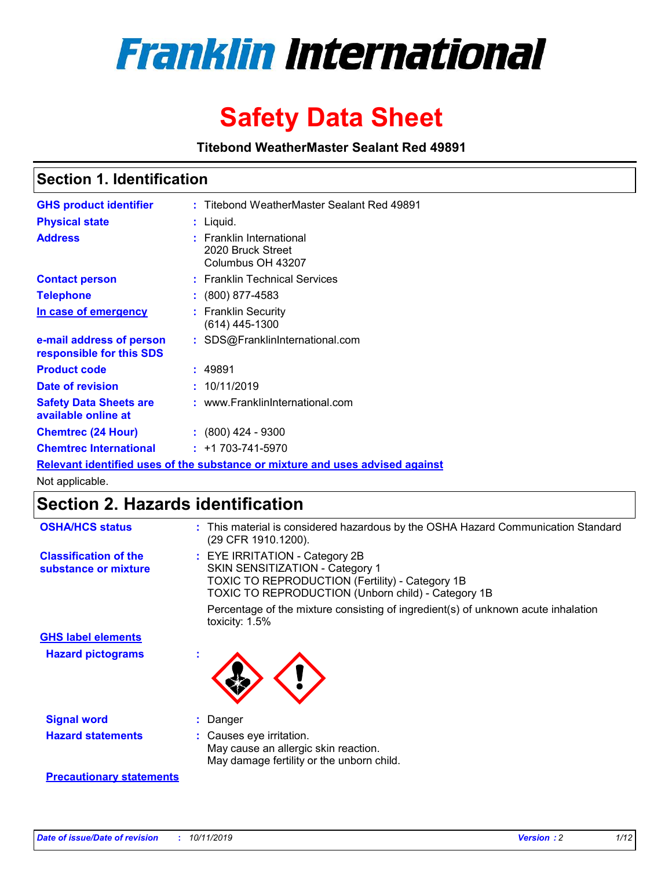

# **Safety Data Sheet**

**Titebond WeatherMaster Sealant Red 49891**

### **Section 1. Identification**

| <b>GHS product identifier</b>                                                 |  | : Titebond WeatherMaster Sealant Red 49891                         |  |  |  |
|-------------------------------------------------------------------------------|--|--------------------------------------------------------------------|--|--|--|
| <b>Physical state</b>                                                         |  | : Liquid.                                                          |  |  |  |
| <b>Address</b>                                                                |  | : Franklin International<br>2020 Bruck Street<br>Columbus OH 43207 |  |  |  |
| <b>Contact person</b>                                                         |  | : Franklin Technical Services                                      |  |  |  |
| <b>Telephone</b>                                                              |  | $\colon$ (800) 877-4583                                            |  |  |  |
| In case of emergency                                                          |  | : Franklin Security<br>(614) 445-1300                              |  |  |  |
| e-mail address of person<br>responsible for this SDS                          |  | : SDS@FranklinInternational.com                                    |  |  |  |
| <b>Product code</b>                                                           |  | : 49891                                                            |  |  |  |
| Date of revision                                                              |  | : 10/11/2019                                                       |  |  |  |
| <b>Safety Data Sheets are</b><br>available online at                          |  | : www.FranklinInternational.com                                    |  |  |  |
| <b>Chemtrec (24 Hour)</b>                                                     |  | : (800) 424 - 9300                                                 |  |  |  |
| <b>Chemtrec International</b>                                                 |  | $: +1703 - 741 - 5970$                                             |  |  |  |
| Relevant identified uses of the substance or mixture and uses advised against |  |                                                                    |  |  |  |

Not applicable.

## **Section 2. Hazards identification**

| <b>OSHA/HCS status</b>                               | : This material is considered hazardous by the OSHA Hazard Communication Standard<br>(29 CFR 1910.1200).                                                                                 |
|------------------------------------------------------|------------------------------------------------------------------------------------------------------------------------------------------------------------------------------------------|
| <b>Classification of the</b><br>substance or mixture | : EYE IRRITATION - Category 2B<br>SKIN SENSITIZATION - Category 1<br><b>TOXIC TO REPRODUCTION (Fertility) - Category 1B</b><br><b>TOXIC TO REPRODUCTION (Unborn child) - Category 1B</b> |
|                                                      | Percentage of the mixture consisting of ingredient(s) of unknown acute inhalation<br>toxicity: $1.5\%$                                                                                   |
| <b>GHS label elements</b>                            |                                                                                                                                                                                          |
| <b>Hazard pictograms</b>                             |                                                                                                                                                                                          |
| <b>Signal word</b>                                   | : Danger                                                                                                                                                                                 |
| <b>Hazard statements</b>                             | : Causes eye irritation.<br>May cause an allergic skin reaction.<br>May damage fertility or the unborn child.                                                                            |
| <b>Precautionary statements</b>                      |                                                                                                                                                                                          |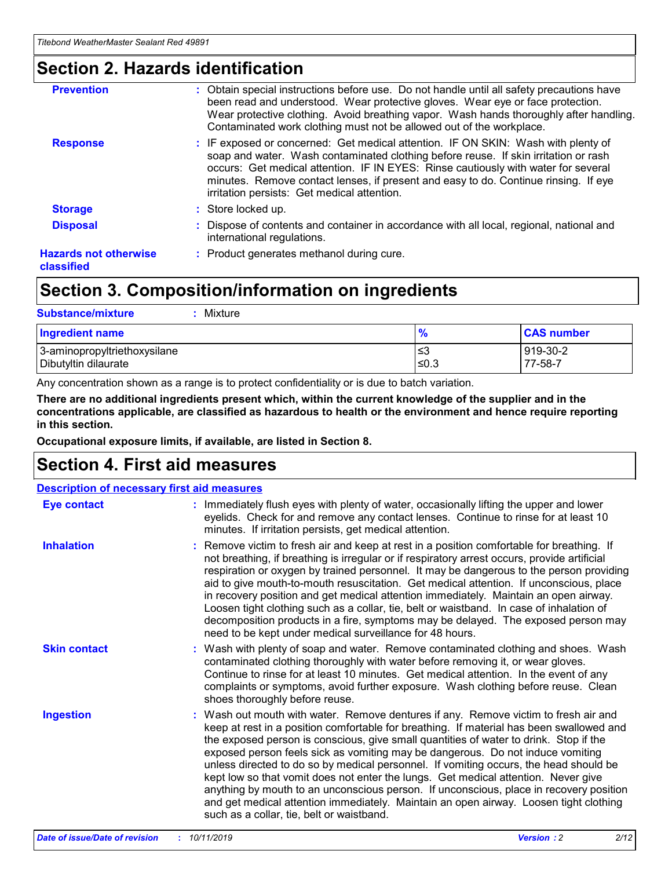### **Section 2. Hazards identification**

| <b>Prevention</b>                          | : Obtain special instructions before use. Do not handle until all safety precautions have<br>been read and understood. Wear protective gloves. Wear eye or face protection.<br>Wear protective clothing. Avoid breathing vapor. Wash hands thoroughly after handling.<br>Contaminated work clothing must not be allowed out of the workplace.                                                        |
|--------------------------------------------|------------------------------------------------------------------------------------------------------------------------------------------------------------------------------------------------------------------------------------------------------------------------------------------------------------------------------------------------------------------------------------------------------|
| <b>Response</b>                            | : IF exposed or concerned: Get medical attention. IF ON SKIN: Wash with plenty of<br>soap and water. Wash contaminated clothing before reuse. If skin irritation or rash<br>occurs: Get medical attention. IF IN EYES: Rinse cautiously with water for several<br>minutes. Remove contact lenses, if present and easy to do. Continue rinsing. If eye<br>irritation persists: Get medical attention. |
| <b>Storage</b>                             | : Store locked up.                                                                                                                                                                                                                                                                                                                                                                                   |
| <b>Disposal</b>                            | : Dispose of contents and container in accordance with all local, regional, national and<br>international regulations.                                                                                                                                                                                                                                                                               |
| <b>Hazards not otherwise</b><br>classified | : Product generates methanol during cure.                                                                                                                                                                                                                                                                                                                                                            |
|                                            |                                                                                                                                                                                                                                                                                                                                                                                                      |

## **Section 3. Composition/information on ingredients**

| <b>Substance/mixture</b><br>Mixture                  |                   |                     |
|------------------------------------------------------|-------------------|---------------------|
| <b>Ingredient name</b>                               | $\frac{9}{6}$     | <b>CAS number</b>   |
| 3-aminopropyltriethoxysilane<br>Dibutyltin dilaurate | l≤3<br>$\leq 0.3$ | 919-30-2<br>77-58-7 |

Any concentration shown as a range is to protect confidentiality or is due to batch variation.

**There are no additional ingredients present which, within the current knowledge of the supplier and in the concentrations applicable, are classified as hazardous to health or the environment and hence require reporting in this section.**

**Occupational exposure limits, if available, are listed in Section 8.**

### **Section 4. First aid measures**

| <b>Description of necessary first aid measures</b> |                                                                                                                                                                                                                                                                                                                                                                                                                                                                                                                                                                                                                                                                                                                                                                           |  |  |  |
|----------------------------------------------------|---------------------------------------------------------------------------------------------------------------------------------------------------------------------------------------------------------------------------------------------------------------------------------------------------------------------------------------------------------------------------------------------------------------------------------------------------------------------------------------------------------------------------------------------------------------------------------------------------------------------------------------------------------------------------------------------------------------------------------------------------------------------------|--|--|--|
| <b>Eye contact</b>                                 | : Immediately flush eyes with plenty of water, occasionally lifting the upper and lower<br>eyelids. Check for and remove any contact lenses. Continue to rinse for at least 10<br>minutes. If irritation persists, get medical attention.                                                                                                                                                                                                                                                                                                                                                                                                                                                                                                                                 |  |  |  |
| <b>Inhalation</b>                                  | : Remove victim to fresh air and keep at rest in a position comfortable for breathing. If<br>not breathing, if breathing is irregular or if respiratory arrest occurs, provide artificial<br>respiration or oxygen by trained personnel. It may be dangerous to the person providing<br>aid to give mouth-to-mouth resuscitation. Get medical attention. If unconscious, place<br>in recovery position and get medical attention immediately. Maintain an open airway.<br>Loosen tight clothing such as a collar, tie, belt or waistband. In case of inhalation of<br>decomposition products in a fire, symptoms may be delayed. The exposed person may<br>need to be kept under medical surveillance for 48 hours.                                                       |  |  |  |
| <b>Skin contact</b>                                | : Wash with plenty of soap and water. Remove contaminated clothing and shoes. Wash<br>contaminated clothing thoroughly with water before removing it, or wear gloves.<br>Continue to rinse for at least 10 minutes. Get medical attention. In the event of any<br>complaints or symptoms, avoid further exposure. Wash clothing before reuse. Clean<br>shoes thoroughly before reuse.                                                                                                                                                                                                                                                                                                                                                                                     |  |  |  |
| <b>Ingestion</b>                                   | : Wash out mouth with water. Remove dentures if any. Remove victim to fresh air and<br>keep at rest in a position comfortable for breathing. If material has been swallowed and<br>the exposed person is conscious, give small quantities of water to drink. Stop if the<br>exposed person feels sick as vomiting may be dangerous. Do not induce vomiting<br>unless directed to do so by medical personnel. If vomiting occurs, the head should be<br>kept low so that vomit does not enter the lungs. Get medical attention. Never give<br>anything by mouth to an unconscious person. If unconscious, place in recovery position<br>and get medical attention immediately. Maintain an open airway. Loosen tight clothing<br>such as a collar, tie, belt or waistband. |  |  |  |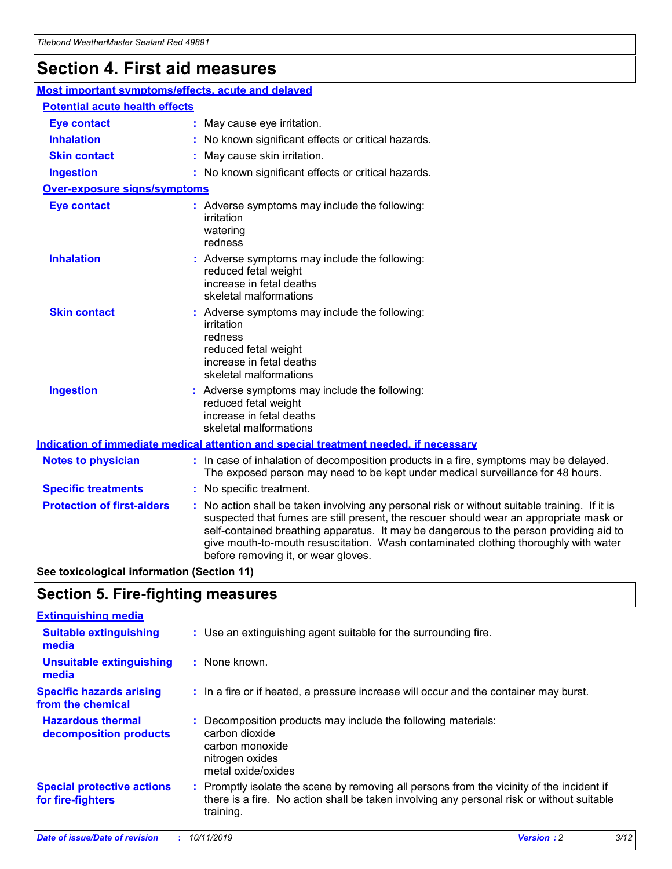## **Section 4. First aid measures**

| Most important symptoms/effects, acute and delayed |  |                                                                                                                                                                                                                                                                                                                                                                                                                 |  |
|----------------------------------------------------|--|-----------------------------------------------------------------------------------------------------------------------------------------------------------------------------------------------------------------------------------------------------------------------------------------------------------------------------------------------------------------------------------------------------------------|--|
| <b>Potential acute health effects</b>              |  |                                                                                                                                                                                                                                                                                                                                                                                                                 |  |
| <b>Eye contact</b>                                 |  | : May cause eye irritation.                                                                                                                                                                                                                                                                                                                                                                                     |  |
| <b>Inhalation</b>                                  |  | : No known significant effects or critical hazards.                                                                                                                                                                                                                                                                                                                                                             |  |
| <b>Skin contact</b>                                |  | : May cause skin irritation.                                                                                                                                                                                                                                                                                                                                                                                    |  |
| <b>Ingestion</b>                                   |  | : No known significant effects or critical hazards.                                                                                                                                                                                                                                                                                                                                                             |  |
| <b>Over-exposure signs/symptoms</b>                |  |                                                                                                                                                                                                                                                                                                                                                                                                                 |  |
| <b>Eye contact</b>                                 |  | : Adverse symptoms may include the following:<br>irritation<br>watering<br>redness                                                                                                                                                                                                                                                                                                                              |  |
| <b>Inhalation</b>                                  |  | : Adverse symptoms may include the following:<br>reduced fetal weight<br>increase in fetal deaths<br>skeletal malformations                                                                                                                                                                                                                                                                                     |  |
| <b>Skin contact</b>                                |  | : Adverse symptoms may include the following:<br>irritation<br>redness<br>reduced fetal weight<br>increase in fetal deaths<br>skeletal malformations                                                                                                                                                                                                                                                            |  |
| <b>Ingestion</b>                                   |  | : Adverse symptoms may include the following:<br>reduced fetal weight<br>increase in fetal deaths<br>skeletal malformations                                                                                                                                                                                                                                                                                     |  |
|                                                    |  | <b>Indication of immediate medical attention and special treatment needed, if necessary</b>                                                                                                                                                                                                                                                                                                                     |  |
| <b>Notes to physician</b>                          |  | : In case of inhalation of decomposition products in a fire, symptoms may be delayed.<br>The exposed person may need to be kept under medical surveillance for 48 hours.                                                                                                                                                                                                                                        |  |
| <b>Specific treatments</b>                         |  | : No specific treatment.                                                                                                                                                                                                                                                                                                                                                                                        |  |
| <b>Protection of first-aiders</b>                  |  | : No action shall be taken involving any personal risk or without suitable training. If it is<br>suspected that fumes are still present, the rescuer should wear an appropriate mask or<br>self-contained breathing apparatus. It may be dangerous to the person providing aid to<br>give mouth-to-mouth resuscitation. Wash contaminated clothing thoroughly with water<br>before removing it, or wear gloves. |  |

**See toxicological information (Section 11)**

### **Section 5. Fire-fighting measures**

| <b>Extinguishing media</b>                             |                                                                                                                                                                                                     |
|--------------------------------------------------------|-----------------------------------------------------------------------------------------------------------------------------------------------------------------------------------------------------|
| <b>Suitable extinguishing</b><br>media                 | : Use an extinguishing agent suitable for the surrounding fire.                                                                                                                                     |
| <b>Unsuitable extinguishing</b><br>media               | : None known.                                                                                                                                                                                       |
| <b>Specific hazards arising</b><br>from the chemical   | : In a fire or if heated, a pressure increase will occur and the container may burst.                                                                                                               |
| <b>Hazardous thermal</b><br>decomposition products     | : Decomposition products may include the following materials:<br>carbon dioxide<br>carbon monoxide<br>nitrogen oxides<br>metal oxide/oxides                                                         |
| <b>Special protective actions</b><br>for fire-fighters | : Promptly isolate the scene by removing all persons from the vicinity of the incident if<br>there is a fire. No action shall be taken involving any personal risk or without suitable<br>training. |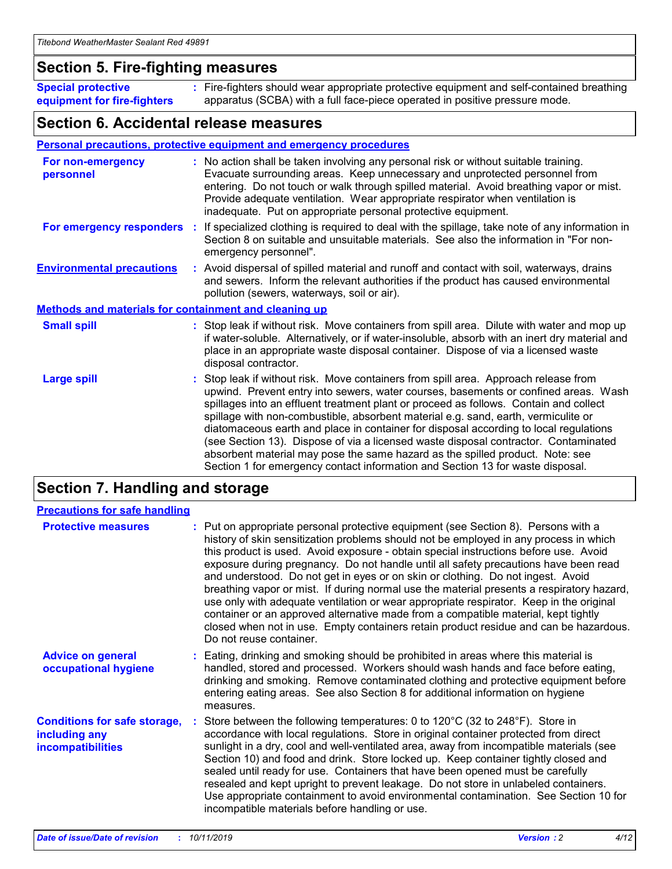### **Section 5. Fire-fighting measures**

**Special protective equipment for fire-fighters** Fire-fighters should wear appropriate protective equipment and self-contained breathing **:** apparatus (SCBA) with a full face-piece operated in positive pressure mode.

### **Section 6. Accidental release measures**

#### **Personal precautions, protective equipment and emergency procedures**

| For non-emergency<br>personnel                               |  | : No action shall be taken involving any personal risk or without suitable training.<br>Evacuate surrounding areas. Keep unnecessary and unprotected personnel from<br>entering. Do not touch or walk through spilled material. Avoid breathing vapor or mist.<br>Provide adequate ventilation. Wear appropriate respirator when ventilation is<br>inadequate. Put on appropriate personal protective equipment.                                                                                                                                                                                                                                                                                             |  |  |
|--------------------------------------------------------------|--|--------------------------------------------------------------------------------------------------------------------------------------------------------------------------------------------------------------------------------------------------------------------------------------------------------------------------------------------------------------------------------------------------------------------------------------------------------------------------------------------------------------------------------------------------------------------------------------------------------------------------------------------------------------------------------------------------------------|--|--|
|                                                              |  | For emergency responders : If specialized clothing is required to deal with the spillage, take note of any information in<br>Section 8 on suitable and unsuitable materials. See also the information in "For non-<br>emergency personnel".                                                                                                                                                                                                                                                                                                                                                                                                                                                                  |  |  |
| <b>Environmental precautions</b>                             |  | : Avoid dispersal of spilled material and runoff and contact with soil, waterways, drains<br>and sewers. Inform the relevant authorities if the product has caused environmental<br>pollution (sewers, waterways, soil or air).                                                                                                                                                                                                                                                                                                                                                                                                                                                                              |  |  |
| <b>Methods and materials for containment and cleaning up</b> |  |                                                                                                                                                                                                                                                                                                                                                                                                                                                                                                                                                                                                                                                                                                              |  |  |
| <b>Small spill</b>                                           |  | : Stop leak if without risk. Move containers from spill area. Dilute with water and mop up<br>if water-soluble. Alternatively, or if water-insoluble, absorb with an inert dry material and<br>place in an appropriate waste disposal container. Dispose of via a licensed waste<br>disposal contractor.                                                                                                                                                                                                                                                                                                                                                                                                     |  |  |
| <b>Large spill</b>                                           |  | : Stop leak if without risk. Move containers from spill area. Approach release from<br>upwind. Prevent entry into sewers, water courses, basements or confined areas. Wash<br>spillages into an effluent treatment plant or proceed as follows. Contain and collect<br>spillage with non-combustible, absorbent material e.g. sand, earth, vermiculite or<br>diatomaceous earth and place in container for disposal according to local regulations<br>(see Section 13). Dispose of via a licensed waste disposal contractor. Contaminated<br>absorbent material may pose the same hazard as the spilled product. Note: see<br>Section 1 for emergency contact information and Section 13 for waste disposal. |  |  |

### **Section 7. Handling and storage**

| <b>Precautions for safe handling</b>                                             |                                                                                                                                                                                                                                                                                                                                                                                                                                                                                                                                                                                                                                                                                                                                                                                                                                                  |
|----------------------------------------------------------------------------------|--------------------------------------------------------------------------------------------------------------------------------------------------------------------------------------------------------------------------------------------------------------------------------------------------------------------------------------------------------------------------------------------------------------------------------------------------------------------------------------------------------------------------------------------------------------------------------------------------------------------------------------------------------------------------------------------------------------------------------------------------------------------------------------------------------------------------------------------------|
| <b>Protective measures</b>                                                       | : Put on appropriate personal protective equipment (see Section 8). Persons with a<br>history of skin sensitization problems should not be employed in any process in which<br>this product is used. Avoid exposure - obtain special instructions before use. Avoid<br>exposure during pregnancy. Do not handle until all safety precautions have been read<br>and understood. Do not get in eyes or on skin or clothing. Do not ingest. Avoid<br>breathing vapor or mist. If during normal use the material presents a respiratory hazard,<br>use only with adequate ventilation or wear appropriate respirator. Keep in the original<br>container or an approved alternative made from a compatible material, kept tightly<br>closed when not in use. Empty containers retain product residue and can be hazardous.<br>Do not reuse container. |
| <b>Advice on general</b><br>occupational hygiene                                 | : Eating, drinking and smoking should be prohibited in areas where this material is<br>handled, stored and processed. Workers should wash hands and face before eating,<br>drinking and smoking. Remove contaminated clothing and protective equipment before<br>entering eating areas. See also Section 8 for additional information on hygiene<br>measures.                                                                                                                                                                                                                                                                                                                                                                                                                                                                                    |
| <b>Conditions for safe storage,</b><br>including any<br><b>incompatibilities</b> | Store between the following temperatures: 0 to 120°C (32 to 248°F). Store in<br>accordance with local regulations. Store in original container protected from direct<br>sunlight in a dry, cool and well-ventilated area, away from incompatible materials (see<br>Section 10) and food and drink. Store locked up. Keep container tightly closed and<br>sealed until ready for use. Containers that have been opened must be carefully<br>resealed and kept upright to prevent leakage. Do not store in unlabeled containers.<br>Use appropriate containment to avoid environmental contamination. See Section 10 for<br>incompatible materials before handling or use.                                                                                                                                                                         |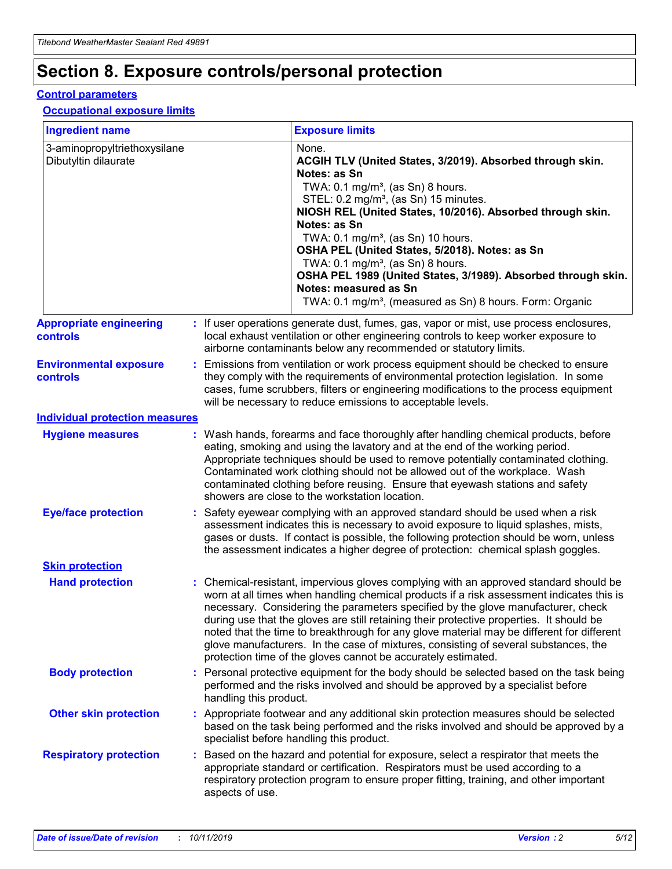## **Section 8. Exposure controls/personal protection**

#### **Control parameters**

#### **Occupational exposure limits**

| <b>Ingredient name</b>                               |    |                        | <b>Exposure limits</b>                                                                                                                                                                                                                                                                                                                                                                                                                                                                                                                                                                                                 |
|------------------------------------------------------|----|------------------------|------------------------------------------------------------------------------------------------------------------------------------------------------------------------------------------------------------------------------------------------------------------------------------------------------------------------------------------------------------------------------------------------------------------------------------------------------------------------------------------------------------------------------------------------------------------------------------------------------------------------|
| 3-aminopropyltriethoxysilane<br>Dibutyltin dilaurate |    |                        | None.<br>ACGIH TLV (United States, 3/2019). Absorbed through skin.<br>Notes: as Sn<br>TWA: $0.1 \text{ mg/m}^3$ , (as Sn) 8 hours.<br>STEL: 0.2 mg/m <sup>3</sup> , (as Sn) 15 minutes.<br>NIOSH REL (United States, 10/2016). Absorbed through skin.<br>Notes: as Sn<br>TWA: 0.1 mg/m <sup>3</sup> , (as Sn) 10 hours.<br>OSHA PEL (United States, 5/2018). Notes: as Sn<br>TWA: $0.1 \text{ mg/m}^3$ , (as Sn) 8 hours.<br>OSHA PEL 1989 (United States, 3/1989). Absorbed through skin.<br>Notes: measured as Sn<br>TWA: 0.1 mg/m <sup>3</sup> , (measured as Sn) 8 hours. Form: Organic                            |
| <b>Appropriate engineering</b><br>controls           |    |                        | : If user operations generate dust, fumes, gas, vapor or mist, use process enclosures,<br>local exhaust ventilation or other engineering controls to keep worker exposure to<br>airborne contaminants below any recommended or statutory limits.                                                                                                                                                                                                                                                                                                                                                                       |
| <b>Environmental exposure</b><br>controls            |    |                        | Emissions from ventilation or work process equipment should be checked to ensure<br>they comply with the requirements of environmental protection legislation. In some<br>cases, fume scrubbers, filters or engineering modifications to the process equipment<br>will be necessary to reduce emissions to acceptable levels.                                                                                                                                                                                                                                                                                          |
| <b>Individual protection measures</b>                |    |                        |                                                                                                                                                                                                                                                                                                                                                                                                                                                                                                                                                                                                                        |
| <b>Hygiene measures</b>                              |    |                        | : Wash hands, forearms and face thoroughly after handling chemical products, before<br>eating, smoking and using the lavatory and at the end of the working period.<br>Appropriate techniques should be used to remove potentially contaminated clothing.<br>Contaminated work clothing should not be allowed out of the workplace. Wash<br>contaminated clothing before reusing. Ensure that eyewash stations and safety<br>showers are close to the workstation location.                                                                                                                                            |
| <b>Eye/face protection</b>                           |    |                        | : Safety eyewear complying with an approved standard should be used when a risk<br>assessment indicates this is necessary to avoid exposure to liquid splashes, mists,<br>gases or dusts. If contact is possible, the following protection should be worn, unless<br>the assessment indicates a higher degree of protection: chemical splash goggles.                                                                                                                                                                                                                                                                  |
| <b>Skin protection</b>                               |    |                        |                                                                                                                                                                                                                                                                                                                                                                                                                                                                                                                                                                                                                        |
| <b>Hand protection</b>                               |    |                        | : Chemical-resistant, impervious gloves complying with an approved standard should be<br>worn at all times when handling chemical products if a risk assessment indicates this is<br>necessary. Considering the parameters specified by the glove manufacturer, check<br>during use that the gloves are still retaining their protective properties. It should be<br>noted that the time to breakthrough for any glove material may be different for different<br>glove manufacturers. In the case of mixtures, consisting of several substances, the<br>protection time of the gloves cannot be accurately estimated. |
| <b>Body protection</b>                               |    | handling this product. | Personal protective equipment for the body should be selected based on the task being<br>performed and the risks involved and should be approved by a specialist before                                                                                                                                                                                                                                                                                                                                                                                                                                                |
| <b>Other skin protection</b>                         |    |                        | : Appropriate footwear and any additional skin protection measures should be selected<br>based on the task being performed and the risks involved and should be approved by a<br>specialist before handling this product.                                                                                                                                                                                                                                                                                                                                                                                              |
| <b>Respiratory protection</b>                        | ÷. | aspects of use.        | Based on the hazard and potential for exposure, select a respirator that meets the<br>appropriate standard or certification. Respirators must be used according to a<br>respiratory protection program to ensure proper fitting, training, and other important                                                                                                                                                                                                                                                                                                                                                         |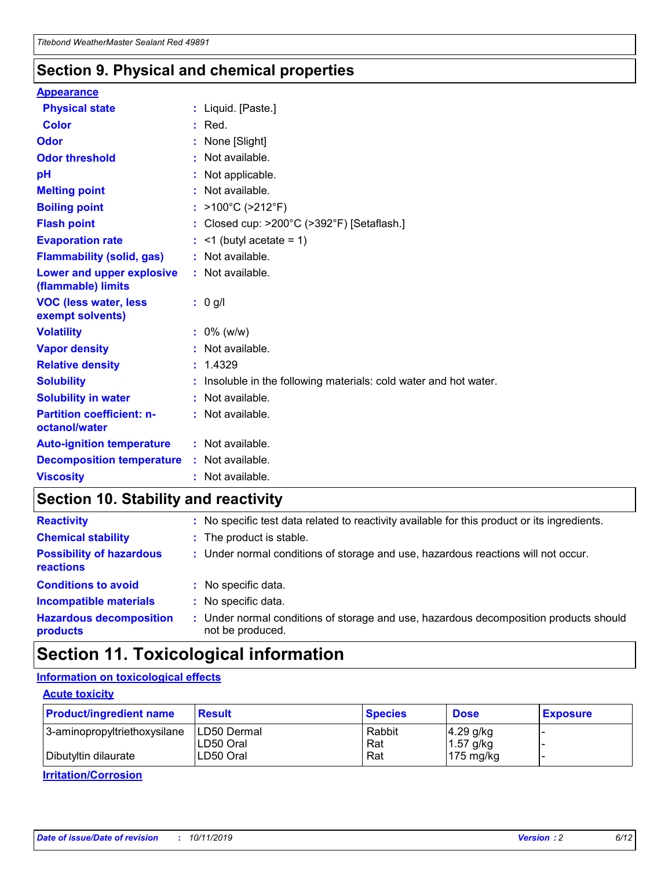### **Section 9. Physical and chemical properties**

#### **Appearance**

| <b>Physical state</b>                                  | : Liquid. [Paste.]                                                |
|--------------------------------------------------------|-------------------------------------------------------------------|
| <b>Color</b>                                           | $:$ Red.                                                          |
| Odor                                                   | None [Slight]                                                     |
| <b>Odor threshold</b>                                  | $:$ Not available.                                                |
| рH                                                     | : Not applicable.                                                 |
| <b>Melting point</b>                                   | : Not available.                                                  |
| <b>Boiling point</b>                                   | : $>100^{\circ}$ C ( $>212^{\circ}$ F)                            |
| <b>Flash point</b>                                     | : Closed cup: $>200^{\circ}$ C ( $>392^{\circ}$ F) [Setaflash.]   |
| <b>Evaporation rate</b>                                | $:$ <1 (butyl acetate = 1)                                        |
| <b>Flammability (solid, gas)</b>                       | : Not available.                                                  |
| <b>Lower and upper explosive</b><br>(flammable) limits | : Not available.                                                  |
|                                                        | : 0 g/l                                                           |
| <b>VOC (less water, less</b><br>exempt solvents)       |                                                                   |
| <b>Volatility</b>                                      | $: 0\%$ (w/w)                                                     |
| <b>Vapor density</b>                                   | : Not available.                                                  |
| <b>Relative density</b>                                | : 1.4329                                                          |
| <b>Solubility</b>                                      | : Insoluble in the following materials: cold water and hot water. |
| <b>Solubility in water</b>                             | : Not available.                                                  |
| <b>Partition coefficient: n-</b><br>octanol/water      | $:$ Not available.                                                |
| <b>Auto-ignition temperature</b>                       | : Not available.                                                  |
| <b>Decomposition temperature</b>                       | : Not available.                                                  |

## **Section 10. Stability and reactivity**

| <b>Reactivity</b>                            | : No specific test data related to reactivity available for this product or its ingredients.            |
|----------------------------------------------|---------------------------------------------------------------------------------------------------------|
| <b>Chemical stability</b>                    | : The product is stable.                                                                                |
| <b>Possibility of hazardous</b><br>reactions | : Under normal conditions of storage and use, hazardous reactions will not occur.                       |
| <b>Conditions to avoid</b>                   | : No specific data.                                                                                     |
| <b>Incompatible materials</b>                | : No specific data.                                                                                     |
| <b>Hazardous decomposition</b><br>products   | Under normal conditions of storage and use, hazardous decomposition products should<br>not be produced. |

## **Section 11. Toxicological information**

### **Information on toxicological effects**

#### **Acute toxicity**

| <b>Product/ingredient name</b> | <b>Result</b> | <b>Species</b> | <b>Dose</b>         | <b>Exposure</b> |
|--------------------------------|---------------|----------------|---------------------|-----------------|
| 3-aminopropyltriethoxysilane   | ILD50 Dermal  | Rabbit         | $4.29$ g/kg         |                 |
|                                | ILD50 Oral    | Rat            | $1.57$ g/kg         |                 |
| Dibutyltin dilaurate           | LD50 Oral     | Rat            | $175 \text{ mg/kg}$ |                 |

**Irritation/Corrosion**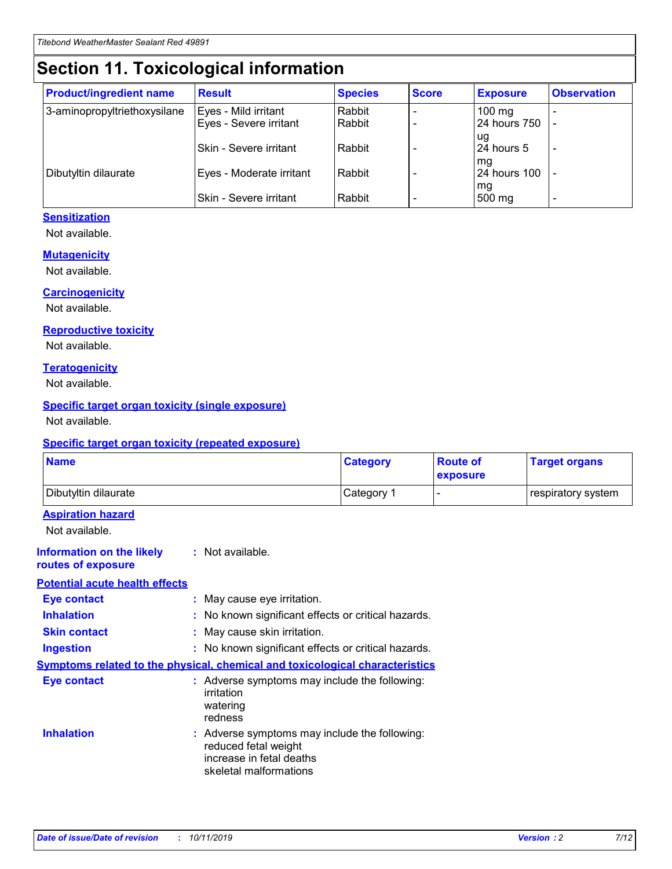## **Section 11. Toxicological information**

| <b>Product/ingredient name</b> | <b>Result</b>            | <b>Species</b> | <b>Score</b> | <b>Exposure</b>           | <b>Observation</b> |
|--------------------------------|--------------------------|----------------|--------------|---------------------------|--------------------|
| 3-aminopropyltriethoxysilane   | Eyes - Mild irritant     | Rabbit         |              | $100$ mg                  |                    |
|                                | Eyes - Severe irritant   | Rabbit         |              | 24 hours 750              |                    |
|                                |                          |                |              | ug                        |                    |
|                                | Skin - Severe irritant   | Rabbit         |              | 24 hours 5                | -                  |
| Dibutyltin dilaurate           | Eyes - Moderate irritant | Rabbit         |              | mq<br><b>24 hours 100</b> |                    |
|                                |                          |                |              | mg                        |                    |
|                                | Skin - Severe irritant   | Rabbit         |              | 500 mg                    |                    |

#### **Sensitization**

Not available.

#### **Mutagenicity**

Not available.

#### **Carcinogenicity**

Not available.

#### **Reproductive toxicity**

Not available.

#### **Teratogenicity**

Not available.

#### **Specific target organ toxicity (single exposure)**

Not available.

#### **Specific target organ toxicity (repeated exposure)**

| <b>Name</b>                                                                  |                                                                                                                             | <b>Category</b> | <b>Route of</b><br>exposure | <b>Target organs</b> |
|------------------------------------------------------------------------------|-----------------------------------------------------------------------------------------------------------------------------|-----------------|-----------------------------|----------------------|
| Dibutyltin dilaurate                                                         |                                                                                                                             | Category 1      |                             | respiratory system   |
| <b>Aspiration hazard</b><br>Not available.                                   |                                                                                                                             |                 |                             |                      |
| <b>Information on the likely</b><br>routes of exposure                       | : Not available.                                                                                                            |                 |                             |                      |
| <b>Potential acute health effects</b>                                        |                                                                                                                             |                 |                             |                      |
| <b>Eye contact</b>                                                           | : May cause eye irritation.                                                                                                 |                 |                             |                      |
| <b>Inhalation</b>                                                            | : No known significant effects or critical hazards.                                                                         |                 |                             |                      |
| <b>Skin contact</b>                                                          | : May cause skin irritation.                                                                                                |                 |                             |                      |
| <b>Ingestion</b>                                                             | : No known significant effects or critical hazards.                                                                         |                 |                             |                      |
| Symptoms related to the physical, chemical and toxicological characteristics |                                                                                                                             |                 |                             |                      |
| <b>Eye contact</b>                                                           | : Adverse symptoms may include the following:<br>irritation<br>watering<br>redness                                          |                 |                             |                      |
| <b>Inhalation</b>                                                            | : Adverse symptoms may include the following:<br>reduced fetal weight<br>increase in fetal deaths<br>skeletal malformations |                 |                             |                      |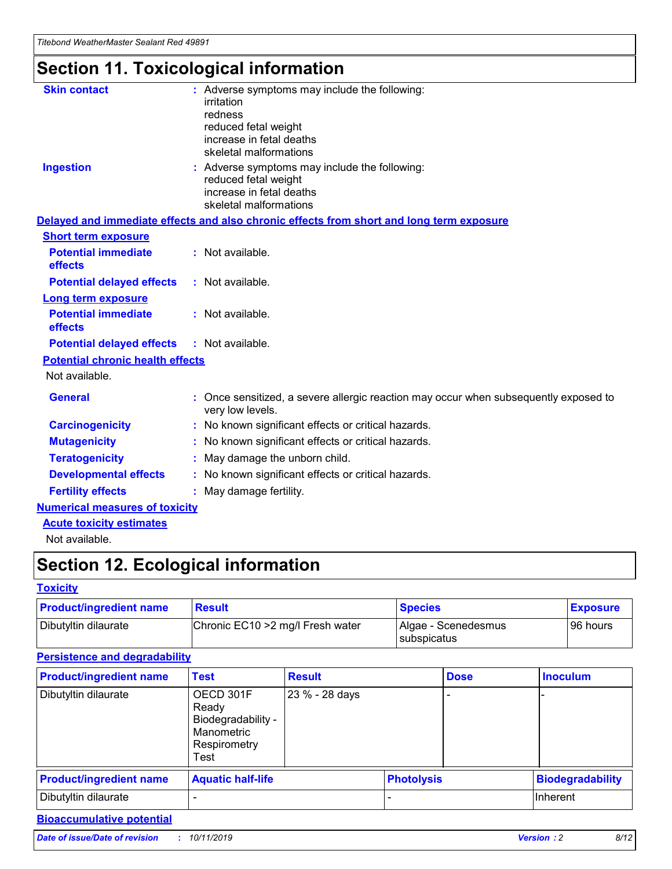## **Section 11. Toxicological information**

| <b>Skin contact</b>                     | : Adverse symptoms may include the following:                                                            |
|-----------------------------------------|----------------------------------------------------------------------------------------------------------|
|                                         | irritation                                                                                               |
|                                         | redness                                                                                                  |
|                                         | reduced fetal weight                                                                                     |
|                                         | increase in fetal deaths                                                                                 |
|                                         | skeletal malformations                                                                                   |
| <b>Ingestion</b>                        | : Adverse symptoms may include the following:                                                            |
|                                         | reduced fetal weight                                                                                     |
|                                         | increase in fetal deaths                                                                                 |
|                                         | skeletal malformations                                                                                   |
|                                         | Delayed and immediate effects and also chronic effects from short and long term exposure                 |
| <b>Short term exposure</b>              |                                                                                                          |
| <b>Potential immediate</b>              | : Not available.                                                                                         |
| effects                                 |                                                                                                          |
| <b>Potential delayed effects</b>        | : Not available.                                                                                         |
| Long term exposure                      |                                                                                                          |
| <b>Potential immediate</b>              | : Not available.                                                                                         |
| effects                                 |                                                                                                          |
| <b>Potential delayed effects</b>        | : Not available.                                                                                         |
| <b>Potential chronic health effects</b> |                                                                                                          |
| Not available.                          |                                                                                                          |
| <b>General</b>                          | : Once sensitized, a severe allergic reaction may occur when subsequently exposed to<br>very low levels. |
| <b>Carcinogenicity</b>                  | : No known significant effects or critical hazards.                                                      |
| <b>Mutagenicity</b>                     | No known significant effects or critical hazards.                                                        |
| <b>Teratogenicity</b>                   | May damage the unborn child.                                                                             |
| <b>Developmental effects</b>            | No known significant effects or critical hazards.                                                        |
| <b>Fertility effects</b>                | : May damage fertility.                                                                                  |
| <b>Numerical measures of toxicity</b>   |                                                                                                          |
| <b>Acute toxicity estimates</b>         |                                                                                                          |
|                                         |                                                                                                          |

Not available.

## **Section 12. Ecological information**

#### **Toxicity**

| <b>Product/ingredient name</b> | <b>Result</b>                     | <b>Species</b>                       | <b>Exposure</b> |
|--------------------------------|-----------------------------------|--------------------------------------|-----------------|
| Dibutyltin dilaurate           | Chronic EC10 > 2 mg/l Fresh water | Algae - Scenedesmus<br>I subspicatus | l 96 hours i    |

### **Persistence and degradability**

| <b>Product/ingredient name</b> | <b>Test</b>                                                                    | <b>Result</b>  |                   | <b>Dose</b> | <b>Inoculum</b>         |
|--------------------------------|--------------------------------------------------------------------------------|----------------|-------------------|-------------|-------------------------|
| Dibutyltin dilaurate           | OECD 301F<br>Ready<br>Biodegradability -<br>Manometric<br>Respirometry<br>Test | 23 % - 28 days |                   |             |                         |
| <b>Product/ingredient name</b> | <b>Aquatic half-life</b>                                                       |                | <b>Photolysis</b> |             | <b>Biodegradability</b> |
| Dibutyltin dilaurate           |                                                                                |                |                   |             | Inherent                |

### **Bioaccumulative potential**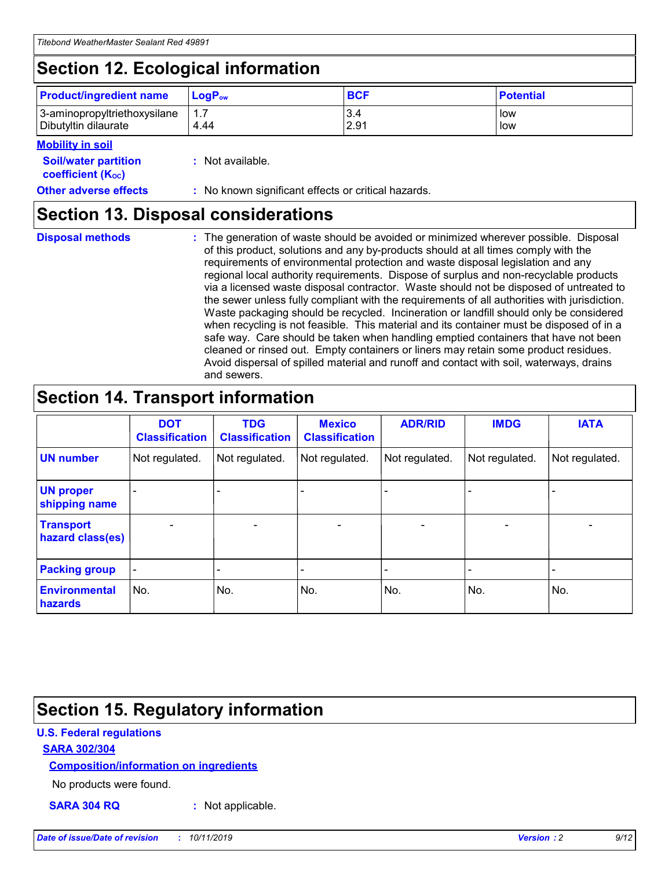## **Section 12. Ecological information**

| <b>Product/ingredient name</b> | $LoaPow$ | <b>BCF</b> | <b>Potential</b> |
|--------------------------------|----------|------------|------------------|
| 3-aminopropyltriethoxysilane   | 1.7      | 3.4        | low              |
| Dibutyltin dilaurate           | 4.44     | 2.91       | low              |

#### **Mobility in soil**

| <b>Soil/water partition</b><br>coefficient (K <sub>oc</sub> ) | : Not available.                                    |
|---------------------------------------------------------------|-----------------------------------------------------|
| <b>Other adverse effects</b>                                  | : No known significant effects or critical hazards. |

### **Section 13. Disposal considerations**

**Disposal methods :**

The generation of waste should be avoided or minimized wherever possible. Disposal of this product, solutions and any by-products should at all times comply with the requirements of environmental protection and waste disposal legislation and any regional local authority requirements. Dispose of surplus and non-recyclable products via a licensed waste disposal contractor. Waste should not be disposed of untreated to the sewer unless fully compliant with the requirements of all authorities with jurisdiction. Waste packaging should be recycled. Incineration or landfill should only be considered when recycling is not feasible. This material and its container must be disposed of in a safe way. Care should be taken when handling emptied containers that have not been cleaned or rinsed out. Empty containers or liners may retain some product residues. Avoid dispersal of spilled material and runoff and contact with soil, waterways, drains and sewers.

## **Section 14. Transport information**

|                                      | <b>DOT</b><br><b>Classification</b> | <b>TDG</b><br><b>Classification</b> | <b>Mexico</b><br><b>Classification</b> | <b>ADR/RID</b>               | <b>IMDG</b>    | <b>IATA</b>    |
|--------------------------------------|-------------------------------------|-------------------------------------|----------------------------------------|------------------------------|----------------|----------------|
| <b>UN number</b>                     | Not regulated.                      | Not regulated.                      | Not regulated.                         | Not regulated.               | Not regulated. | Not regulated. |
| <b>UN proper</b><br>shipping name    |                                     |                                     |                                        |                              |                |                |
| <b>Transport</b><br>hazard class(es) | $\blacksquare$                      | $\overline{\phantom{0}}$            | $\overline{\phantom{a}}$               | $\qquad \qquad \blacksquare$ | $\blacksquare$ | $\blacksquare$ |
| <b>Packing group</b>                 | $\overline{\phantom{a}}$            | -                                   |                                        | -                            |                | -              |
| <b>Environmental</b><br>hazards      | No.                                 | No.                                 | No.                                    | No.                          | No.            | No.            |

### **Section 15. Regulatory information**

#### **U.S. Federal regulations**

#### **SARA 302/304**

#### **Composition/information on ingredients**

No products were found.

**SARA 304 RQ :** Not applicable.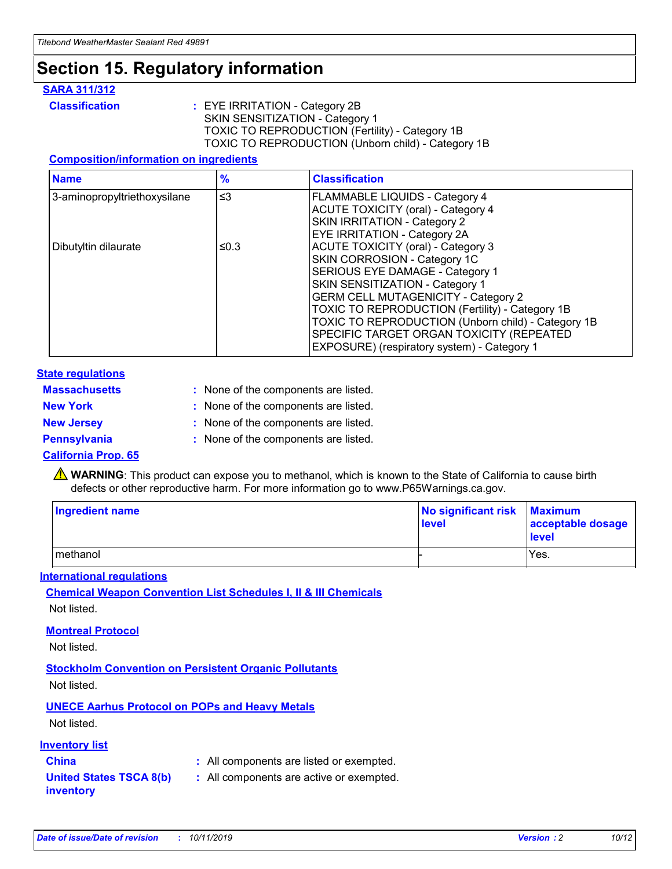## **Section 15. Regulatory information**

#### **SARA 311/312**

**Classification :** EYE IRRITATION - Category 2B SKIN SENSITIZATION - Category 1 TOXIC TO REPRODUCTION (Fertility) - Category 1B TOXIC TO REPRODUCTION (Unborn child) - Category 1B

#### **Composition/information on ingredients**

| <b>Name</b>                              | $\frac{9}{6}$ | <b>Classification</b>                                  |
|------------------------------------------|---------------|--------------------------------------------------------|
| $\leq$ 3<br>3-aminopropyltriethoxysilane |               | <b>FLAMMABLE LIQUIDS - Category 4</b>                  |
|                                          |               | <b>ACUTE TOXICITY (oral) - Category 4</b>              |
|                                          |               | SKIN IRRITATION - Category 2                           |
|                                          |               | EYE IRRITATION - Category 2A                           |
| Dibutyltin dilaurate                     | ≤0.3          | <b>ACUTE TOXICITY (oral) - Category 3</b>              |
|                                          |               | SKIN CORROSION - Category 1C                           |
|                                          |               | SERIOUS EYE DAMAGE - Category 1                        |
|                                          |               | SKIN SENSITIZATION - Category 1                        |
|                                          |               | <b>GERM CELL MUTAGENICITY - Category 2</b>             |
|                                          |               | <b>TOXIC TO REPRODUCTION (Fertility) - Category 1B</b> |
|                                          |               | TOXIC TO REPRODUCTION (Unborn child) - Category 1B     |
|                                          |               | SPECIFIC TARGET ORGAN TOXICITY (REPEATED               |
|                                          |               | EXPOSURE) (respiratory system) - Category 1            |

#### **State regulations**

| <b>Massachusetts</b> | : None of the components are listed. |
|----------------------|--------------------------------------|
| <b>New York</b>      | : None of the components are listed. |
| <b>New Jersey</b>    | : None of the components are listed. |
| <b>Pennsylvania</b>  | : None of the components are listed. |

#### **California Prop. 65**

**A** WARNING: This product can expose you to methanol, which is known to the State of California to cause birth defects or other reproductive harm. For more information go to www.P65Warnings.ca.gov.

| <b>Ingredient name</b> | No significant risk Maximum<br>level | acceptable dosage<br>level |
|------------------------|--------------------------------------|----------------------------|
| methanol               |                                      | Yes.                       |

#### **International regulations**

**Chemical Weapon Convention List Schedules I, II & III Chemicals** Not listed.

#### **Montreal Protocol**

Not listed.

#### **Stockholm Convention on Persistent Organic Pollutants**

Not listed.

### **UNECE Aarhus Protocol on POPs and Heavy Metals**

Not listed.

#### **Inventory list**

### **China :** All components are listed or exempted.

**United States TSCA 8(b) inventory :** All components are active or exempted.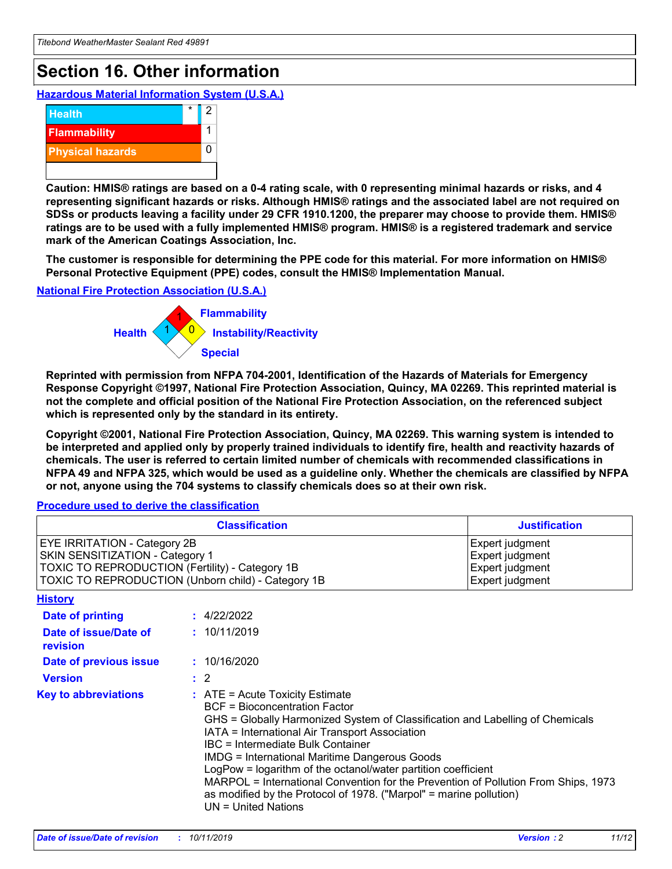## **Section 16. Other information**

**Hazardous Material Information System (U.S.A.)**



**Caution: HMIS® ratings are based on a 0-4 rating scale, with 0 representing minimal hazards or risks, and 4 representing significant hazards or risks. Although HMIS® ratings and the associated label are not required on SDSs or products leaving a facility under 29 CFR 1910.1200, the preparer may choose to provide them. HMIS® ratings are to be used with a fully implemented HMIS® program. HMIS® is a registered trademark and service mark of the American Coatings Association, Inc.**

**The customer is responsible for determining the PPE code for this material. For more information on HMIS® Personal Protective Equipment (PPE) codes, consult the HMIS® Implementation Manual.**

#### **National Fire Protection Association (U.S.A.)**



**Reprinted with permission from NFPA 704-2001, Identification of the Hazards of Materials for Emergency Response Copyright ©1997, National Fire Protection Association, Quincy, MA 02269. This reprinted material is not the complete and official position of the National Fire Protection Association, on the referenced subject which is represented only by the standard in its entirety.**

**Copyright ©2001, National Fire Protection Association, Quincy, MA 02269. This warning system is intended to be interpreted and applied only by properly trained individuals to identify fire, health and reactivity hazards of chemicals. The user is referred to certain limited number of chemicals with recommended classifications in NFPA 49 and NFPA 325, which would be used as a guideline only. Whether the chemicals are classified by NFPA or not, anyone using the 704 systems to classify chemicals does so at their own risk.**

#### **Procedure used to derive the classification**

| <b>Classification</b>                                                                                                                                                                  |                                                                                                                                                                                                                                                                   | <b>Justification</b>                                                                                                                                                                                                                                                                                       |  |
|----------------------------------------------------------------------------------------------------------------------------------------------------------------------------------------|-------------------------------------------------------------------------------------------------------------------------------------------------------------------------------------------------------------------------------------------------------------------|------------------------------------------------------------------------------------------------------------------------------------------------------------------------------------------------------------------------------------------------------------------------------------------------------------|--|
| <b>EYE IRRITATION - Category 2B</b><br>SKIN SENSITIZATION - Category 1<br><b>TOXIC TO REPRODUCTION (Fertility) - Category 1B</b><br>TOXIC TO REPRODUCTION (Unborn child) - Category 1B |                                                                                                                                                                                                                                                                   | Expert judgment<br>Expert judgment<br>Expert judgment<br>Expert judgment                                                                                                                                                                                                                                   |  |
| <b>History</b>                                                                                                                                                                         |                                                                                                                                                                                                                                                                   |                                                                                                                                                                                                                                                                                                            |  |
| <b>Date of printing</b>                                                                                                                                                                | : 4/22/2022                                                                                                                                                                                                                                                       |                                                                                                                                                                                                                                                                                                            |  |
| Date of issue/Date of<br>revision                                                                                                                                                      | : 10/11/2019                                                                                                                                                                                                                                                      |                                                                                                                                                                                                                                                                                                            |  |
| Date of previous issue                                                                                                                                                                 | : 10/16/2020                                                                                                                                                                                                                                                      |                                                                                                                                                                                                                                                                                                            |  |
| <b>Version</b>                                                                                                                                                                         | $\therefore$ 2                                                                                                                                                                                                                                                    |                                                                                                                                                                                                                                                                                                            |  |
| <b>Key to abbreviations</b>                                                                                                                                                            | $\therefore$ ATE = Acute Toxicity Estimate<br><b>BCF</b> = Bioconcentration Factor<br>IATA = International Air Transport Association<br><b>IBC</b> = Intermediate Bulk Container<br><b>IMDG = International Maritime Dangerous Goods</b><br>$UN = United Nations$ | GHS = Globally Harmonized System of Classification and Labelling of Chemicals<br>LogPow = logarithm of the octanol/water partition coefficient<br>MARPOL = International Convention for the Prevention of Pollution From Ships, 1973<br>as modified by the Protocol of 1978. ("Marpol" = marine pollution) |  |